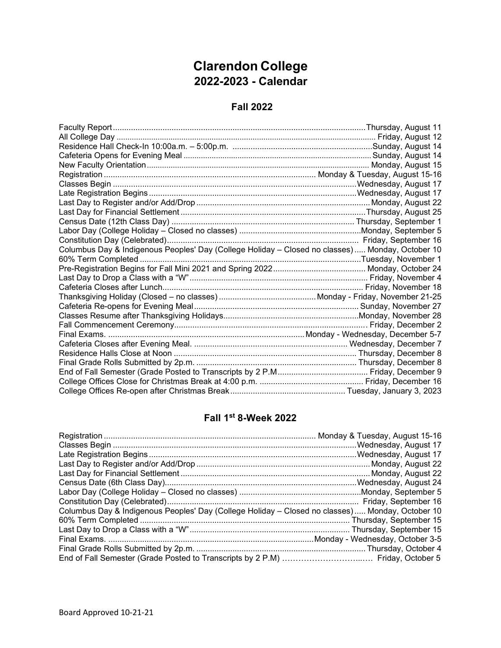## **Clarendon College 2022-2023 - Calendar**

#### **Fall 2022**

| Columbus Day & Indigenous Peoples' Day (College Holiday - Closed no classes)  Monday, October 10 |  |
|--------------------------------------------------------------------------------------------------|--|
|                                                                                                  |  |
|                                                                                                  |  |
|                                                                                                  |  |
|                                                                                                  |  |
|                                                                                                  |  |
|                                                                                                  |  |
|                                                                                                  |  |
|                                                                                                  |  |
|                                                                                                  |  |
|                                                                                                  |  |
|                                                                                                  |  |
|                                                                                                  |  |
|                                                                                                  |  |
|                                                                                                  |  |
|                                                                                                  |  |

### **Fall 1st 8-Week 2022**

| Columbus Day & Indigenous Peoples' Day (College Holiday - Closed no classes)  Monday, October 10 |  |
|--------------------------------------------------------------------------------------------------|--|
|                                                                                                  |  |
|                                                                                                  |  |
|                                                                                                  |  |
|                                                                                                  |  |
|                                                                                                  |  |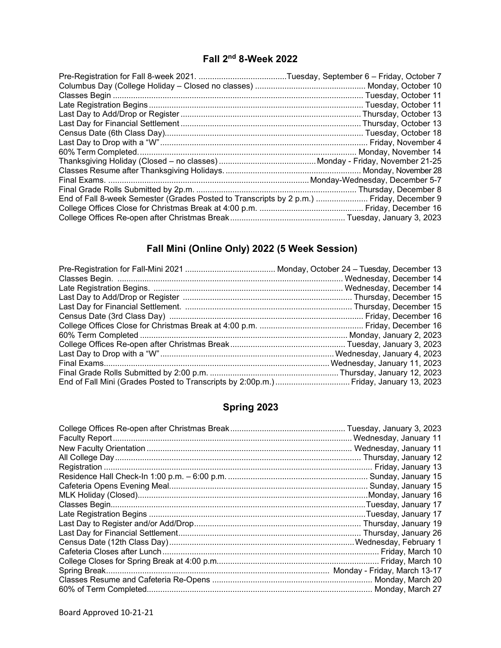#### **Fall 2nd 8-Week 2022**

| End of Fall 8-week Semester (Grades Posted to Transcripts by 2 p.m.)  Friday, December 9 |  |
|------------------------------------------------------------------------------------------|--|
|                                                                                          |  |
|                                                                                          |  |

## **Fall Mini (Online Only) 2022 (5 Week Session)**

# **Spring 2023**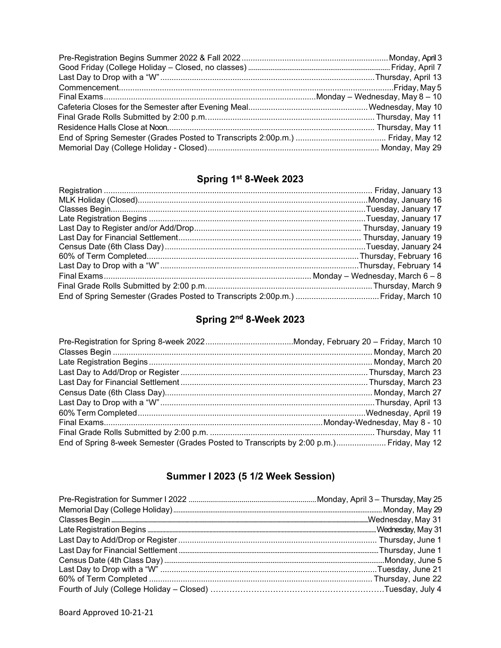# **Spring 1st 8-Week 2023**

## **Spring 2nd 8-Week 2023**

| End of Spring 8-week Semester (Grades Posted to Transcripts by 2:00 p.m.) Friday, May 12 |  |
|------------------------------------------------------------------------------------------|--|

## **Summer I 2023 (5 1/2 Week Session)**